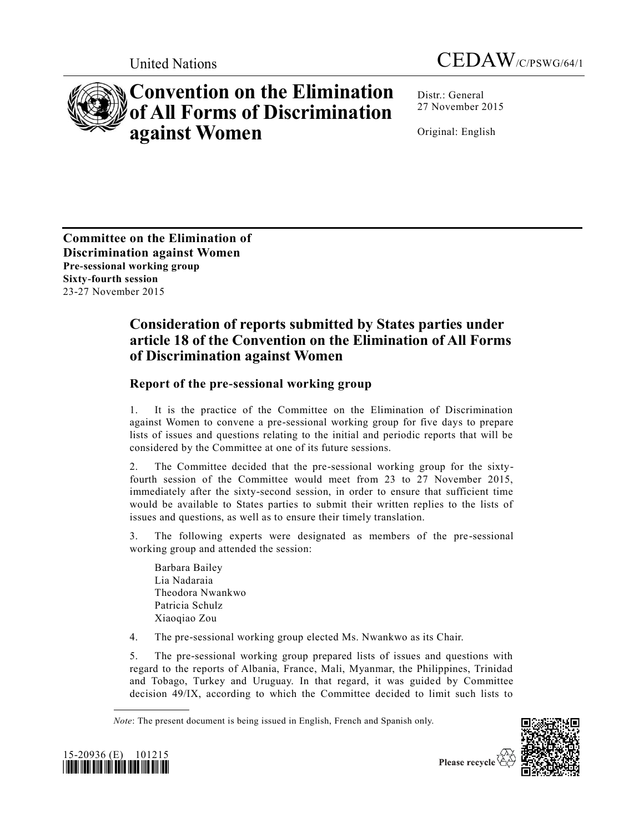



## **Convention on the Elimination of All Forms of Discrimination against Women**

Distr.: General 27 November 2015

Original: English

**Committee on the Elimination of Discrimination against Women Pre-sessional working group Sixty-fourth session** 23-27 November 2015

## **Consideration of reports submitted by States parties under article 18 of the Convention on the Elimination of All Forms of Discrimination against Women**

## **Report of the pre-sessional working group**

1. It is the practice of the Committee on the Elimination of Discrimination against Women to convene a pre-sessional working group for five days to prepare lists of issues and questions relating to the initial and periodic reports that will be considered by the Committee at one of its future sessions.

2. The Committee decided that the pre-sessional working group for the sixtyfourth session of the Committee would meet from 23 to 27 November 2015, immediately after the sixty-second session, in order to ensure that sufficient time would be available to States parties to submit their written replies to the lists of issues and questions, as well as to ensure their timely translation.

3. The following experts were designated as members of the pre-sessional working group and attended the session:

Barbara Bailey Lia Nadaraia Theodora Nwankwo Patricia Schulz Xiaoqiao Zou

4. The pre-sessional working group elected Ms. Nwankwo as its Chair.

5. The pre-sessional working group prepared lists of issues and questions with regard to the reports of Albania, France, Mali, Myanmar, the Philippines, Trinidad and Tobago, Turkey and Uruguay. In that regard, it was guided by Committee decision 49/IX, according to which the Committee decided to limit such lists to

*Note*: The present document is being issued in English, French and Spanish only.



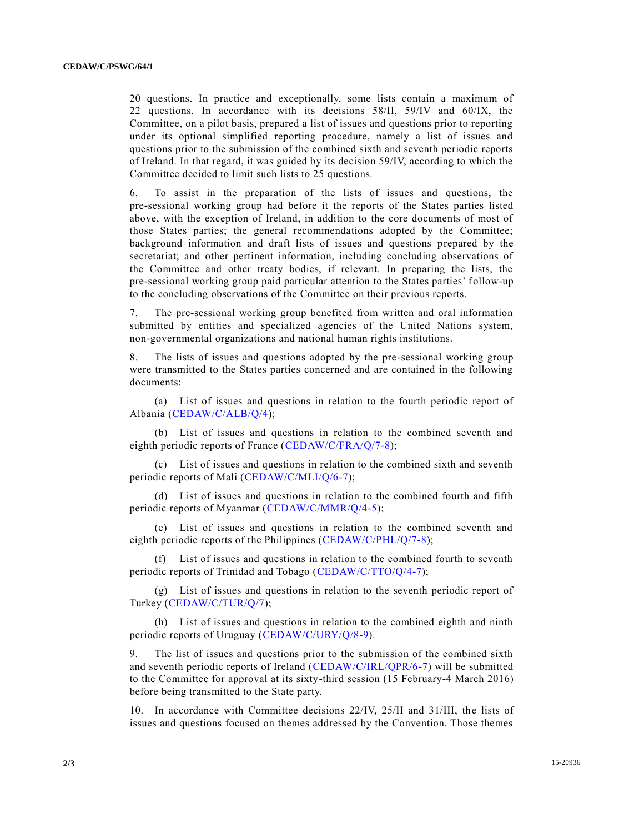20 questions. In practice and exceptionally, some lists contain a maximum of 22 questions. In accordance with its decisions 58/II, 59/IV and 60/IX, the Committee, on a pilot basis, prepared a list of issues and questions prior to reporting under its optional simplified reporting procedure, namely a list of issues and questions prior to the submission of the combined sixth and seventh periodic reports of Ireland. In that regard, it was guided by its decision 59/IV, according to which the Committee decided to limit such lists to 25 questions.

6. To assist in the preparation of the lists of issues and questions, the pre-sessional working group had before it the reports of the States parties listed above, with the exception of Ireland, in addition to the core documents of most of those States parties; the general recommendations adopted by the Committee; background information and draft lists of issues and questions prepared by the secretariat; and other pertinent information, including concluding observations of the Committee and other treaty bodies, if relevant. In preparing the lists, the pre-sessional working group paid particular attention to the States parties' follow-up to the concluding observations of the Committee on their previous reports.

7. The pre-sessional working group benefited from written and oral information submitted by entities and specialized agencies of the United Nations system, non-governmental organizations and national human rights institutions.

8. The lists of issues and questions adopted by the pre-sessional working group were transmitted to the States parties concerned and are contained in the following documents:

(a) List of issues and questions in relation to the fourth periodic report of Albania [\(CEDAW/C/ALB/Q/4\)](http://undocs.org/CEDAW/C/ALB/Q/4);

(b) List of issues and questions in relation to the combined seventh and eighth periodic reports of France [\(CEDAW/C/FRA/Q/7-8\)](http://undocs.org/CEDAW/C/FRA/Q/7);

(c) List of issues and questions in relation to the combined sixth and seventh periodic reports of Mali [\(CEDAW/C/MLI/Q/6-7\)](http://undocs.org/CEDAW/C/MLI/Q/6);

(d) List of issues and questions in relation to the combined fourth and fifth periodic reports of Myanmar [\(CEDAW/C/MMR/Q/4-5\)](http://undocs.org/CEDAW/C/MMR/Q/4);

(e) List of issues and questions in relation to the combined seventh and eighth periodic reports of the Philippines [\(CEDAW/C/PHL/Q/7-8\)](http://undocs.org/CEDAW/C/PHL/Q/7);

(f) List of issues and questions in relation to the combined fourth to seventh periodic reports of Trinidad and Tobago [\(CEDAW/C/TTO/Q/4-7\)](http://undocs.org/CEDAW/C/TTO/Q/4);

(g) List of issues and questions in relation to the seventh periodic report of Turkey [\(CEDAW/C/TUR/Q/7\)](http://undocs.org/CEDAW/C/TUR/Q/7);

(h) List of issues and questions in relation to the combined eighth and ninth periodic reports of Uruguay [\(CEDAW/C/URY/Q/8-9\)](http://undocs.org/CEDAW/C/URY/Q/8).

9. The list of issues and questions prior to the submission of the combined sixth and seventh periodic reports of Ireland [\(CEDAW/C/IRL/QPR/6-7\)](http://undocs.org/CEDAW/C/IRL/QPR/6) will be submitted to the Committee for approval at its sixty-third session (15 February-4 March 2016) before being transmitted to the State party.

10. In accordance with Committee decisions 22/IV, 25/II and 31/III, the lists of issues and questions focused on themes addressed by the Convention. Those themes